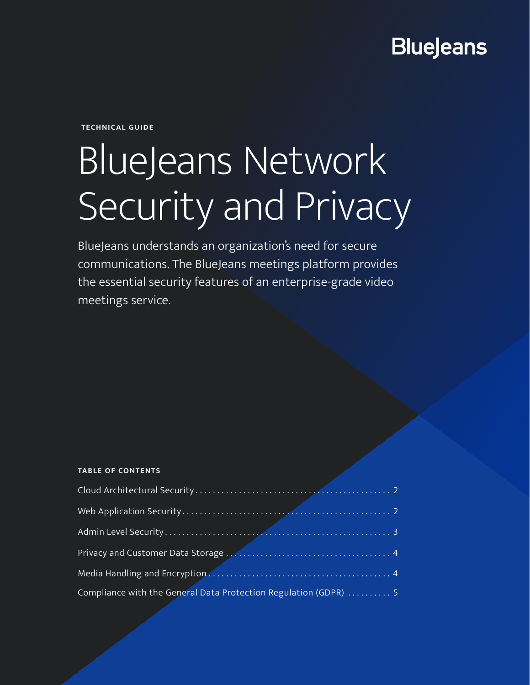## **BlueJeans**

**TECHNICAL GUIDE**

# BlueJeans Network Security and Privacy

BlueJeans understands an organization's need for secure communications. The BlueJeans meetings platform provides the essential security features of an enterprise-grade video meetings service.

#### **TABLE OF CONTENTS**

| Compliance with the General Data Protection Regulation (GDPR)  5 |  |
|------------------------------------------------------------------|--|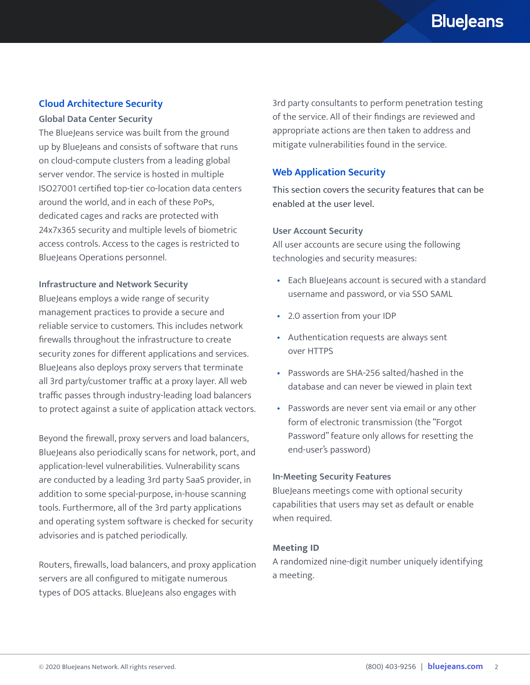#### <span id="page-1-0"></span>**Cloud Architecture Security**

#### **Global Data Center Security**

The BlueJeans service was built from the ground up by BlueJeans and consists of software that runs on cloud-compute clusters from a leading global server vendor. The service is hosted in multiple ISO27001 certified top-tier co-location data centers around the world, and in each of these PoPs, dedicated cages and racks are protected with 24x7x365 security and multiple levels of biometric access controls. Access to the cages is restricted to BlueJeans Operations personnel.

#### **Infrastructure and Network Security**

BlueJeans employs a wide range of security management practices to provide a secure and reliable service to customers. This includes network firewalls throughout the infrastructure to create security zones for different applications and services. BlueJeans also deploys proxy servers that terminate all 3rd party/customer traffic at a proxy layer. All web traffic passes through industry-leading load balancers to protect against a suite of application attack vectors.

Beyond the firewall, proxy servers and load balancers, BlueJeans also periodically scans for network, port, and application-level vulnerabilities. Vulnerability scans are conducted by a leading 3rd party SaaS provider, in addition to some special-purpose, in-house scanning tools. Furthermore, all of the 3rd party applications and operating system software is checked for security advisories and is patched periodically.

Routers, firewalls, load balancers, and proxy application servers are all configured to mitigate numerous types of DOS attacks. BlueJeans also engages with

3rd party consultants to perform penetration testing of the service. All of their findings are reviewed and appropriate actions are then taken to address and mitigate vulnerabilities found in the service.

#### **Web Application Security**

This section covers the security features that can be enabled at the user level.

#### **User Account Security**

All user accounts are secure using the following technologies and security measures:

- Each BlueJeans account is secured with a standard username and password, or via SSO SAML
- 2.0 assertion from your IDP
- Authentication requests are always sent over HTTPS
- Passwords are SHA-256 salted/hashed in the database and can never be viewed in plain text
- Passwords are never sent via email or any other form of electronic transmission (the "Forgot Password" feature only allows for resetting the end-user's password)

#### **In-Meeting Security Features**

BlueJeans meetings come with optional security capabilities that users may set as default or enable when required.

#### **Meeting ID**

A randomized nine-digit number uniquely identifying a meeting.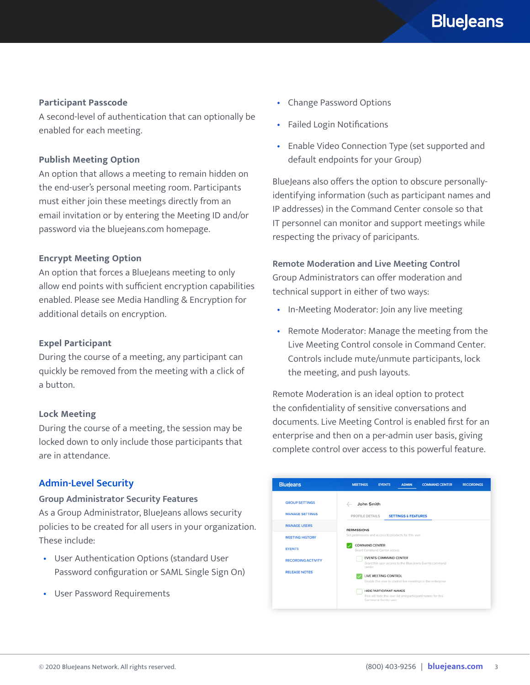#### <span id="page-2-0"></span>**Participant Passcode**

A second-level of authentication that can optionally be enabled for each meeting.

#### **Publish Meeting Option**

An option that allows a meeting to remain hidden on the end-user's personal meeting room. Participants must either join these meetings directly from an email invitation or by entering the Meeting ID and/or password via the bluejeans.com homepage.

#### **Encrypt Meeting Option**

An option that forces a BlueJeans meeting to only allow end points with sufficient encryption capabilities enabled. Please see Media Handling & Encryption for additional details on encryption.

#### **Expel Participant**

During the course of a meeting, any participant can quickly be removed from the meeting with a click of a button.

#### **Lock Meeting**

During the course of a meeting, the session may be locked down to only include those participants that are in attendance.

#### **Admin-Level Security**

#### **Group Administrator Security Features**

As a Group Administrator, BlueJeans allows security policies to be created for all users in your organization. These include:

- User Authentication Options (standard User Password configuration or SAML Single Sign On)
- User Password Requirements
- Change Password Options
- Failed Login Notifications
- Enable Video Connection Type (set supported and default endpoints for your Group)

BlueJeans also offers the option to obscure personallyidentifying information (such as participant names and IP addresses) in the Command Center console so that IT personnel can monitor and support meetings while respecting the privacy of paricipants.

**Remote Moderation and Live Meeting Control** Group Administrators can offer moderation and technical support in either of two ways:

- In-Meeting Moderator: Join any live meeting
- Remote Moderator: Manage the meeting from the Live Meeting Control console in Command Center. Controls include mute/unmute participants, lock the meeting, and push layouts.

Remote Moderation is an ideal option to protect the confidentiality of sensitive conversations and documents. Live Meeting Control is enabled first for an enterprise and then on a per-admin user basis, giving complete control over access to this powerful feature.

| <b>BlueJeans</b>                                               | <b>MEETINGS</b><br><b>EVENTS</b><br><b>COMMAND CENTER</b><br><b>RECORDINGS</b><br><b>ADMIN</b>                                                                                   |
|----------------------------------------------------------------|----------------------------------------------------------------------------------------------------------------------------------------------------------------------------------|
| <b>GROUP SETTINGS</b><br><b>MANAGE SETTINGS</b>                | John Smith<br>$\leftarrow$<br>PROFILE DETAILS<br><b>SETTINGS &amp; FEATURES</b>                                                                                                  |
| <b>MANAGE USERS</b><br><b>MEETING HISTORY</b><br><b>EVENTS</b> | <b>PERMISSIONS</b><br>Set permissions and access to products for this user<br>COMMAND CENTER<br>Grant Command Center access                                                      |
| <b>RECORDING ACTIVITY</b><br><b>RELEASE NOTES</b>              | EVENTS COMMAND CENTER<br>Grant this user access to the BlueJeans Events command<br>center<br>LIVE MEETING CONTROL<br>Enable this user to control live meetings in the enterprise |
|                                                                | HIDE PARTICIPANT NAMES<br>This will hide the user list and participant names for this<br>Command Center user                                                                     |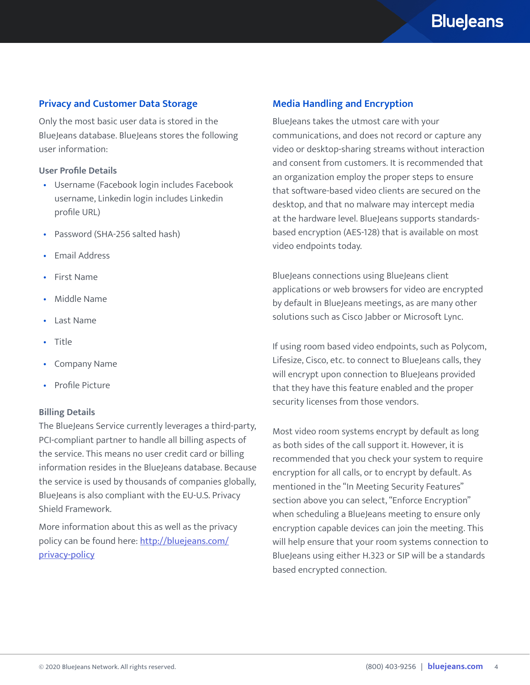### **BlueJeans**

#### <span id="page-3-0"></span>**Privacy and Customer Data Storage**

Only the most basic user data is stored in the BlueJeans database. BlueJeans stores the following user information:

#### **User Profile Details**

- Username (Facebook login includes Facebook username, Linkedin login includes Linkedin profile URL)
- Password (SHA-256 salted hash)
- Email Address
- First Name
- Middle Name
- Last Name
- Title
- Company Name
- Profile Picture

#### **Billing Details**

The BlueJeans Service currently leverages a third-party, PCI-compliant partner to handle all billing aspects of the service. This means no user credit card or billing information resides in the BlueJeans database. Because the service is used by thousands of companies globally, BlueJeans is also compliant with the EU-U.S. Privacy Shield Framework.

More information about this as well as the privacy policy can be found here: [http://bluejeans.com/](http://bluejeans.com/privacy-policy) [privacy-policy](http://bluejeans.com/privacy-policy)

#### **Media Handling and Encryption**

BlueJeans takes the utmost care with your communications, and does not record or capture any video or desktop-sharing streams without interaction and consent from customers. It is recommended that an organization employ the proper steps to ensure that software-based video clients are secured on the desktop, and that no malware may intercept media at the hardware level. BlueJeans supports standardsbased encryption (AES-128) that is available on most video endpoints today.

BlueJeans connections using BlueJeans client applications or web browsers for video are encrypted by default in BlueJeans meetings, as are many other solutions such as Cisco Jabber or Microsoft Lync.

If using room based video endpoints, such as Polycom, Lifesize, Cisco, etc. to connect to BlueJeans calls, they will encrypt upon connection to BlueJeans provided that they have this feature enabled and the proper security licenses from those vendors.

Most video room systems encrypt by default as long as both sides of the call support it. However, it is recommended that you check your system to require encryption for all calls, or to encrypt by default. As mentioned in the "In Meeting Security Features" section above you can select, "Enforce Encryption" when scheduling a BlueJeans meeting to ensure only encryption capable devices can join the meeting. This will help ensure that your room systems connection to BlueJeans using either H.323 or SIP will be a standards based encrypted connection.